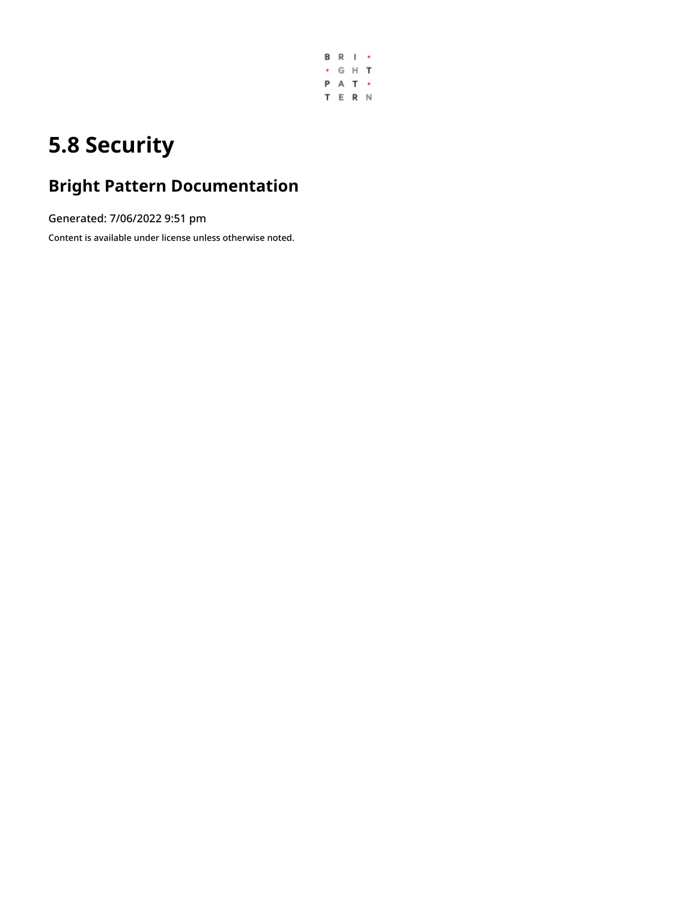

# **5.8 Security**

## **Bright Pattern Documentation**

Generated: 7/06/2022 9:51 pm

Content is available under license unless otherwise noted.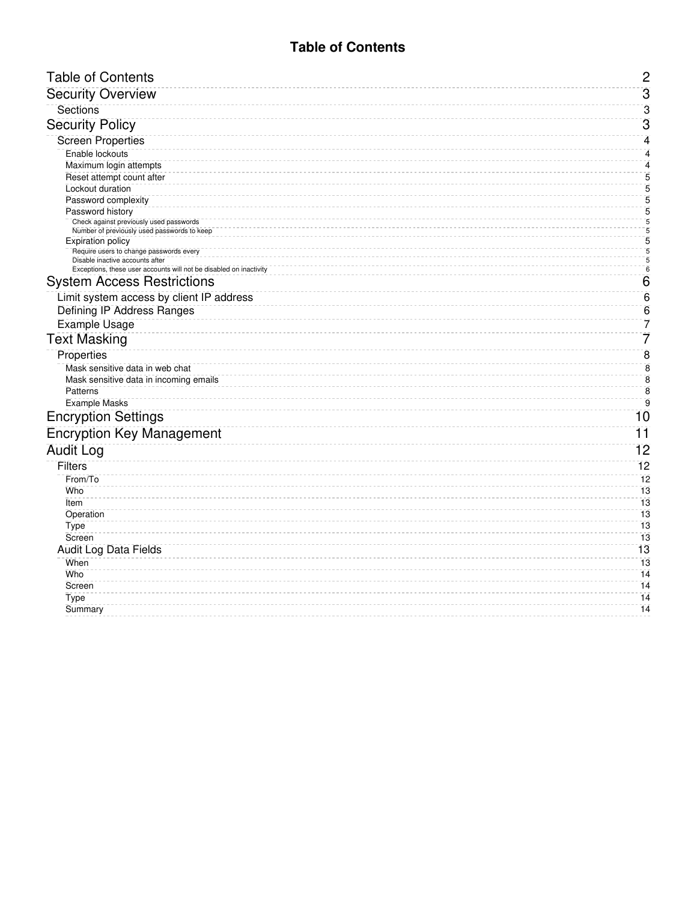### **Table of Contents**

<span id="page-1-0"></span>

| <b>Table of Contents</b>                                                                              | $\overline{c}$               |
|-------------------------------------------------------------------------------------------------------|------------------------------|
| <b>Security Overview</b>                                                                              | $\overline{3}$               |
| Sections                                                                                              | 3                            |
| <b>Security Policy</b>                                                                                | 3                            |
| <b>Screen Properties</b>                                                                              | 4                            |
| Enable lockouts                                                                                       | 4                            |
| Maximum login attempts                                                                                | $\overline{\mathbf{4}}$      |
| Reset attempt count after                                                                             | 5                            |
| Lockout duration                                                                                      | $\overline{5}$               |
| Password complexity                                                                                   | $\overline{5}$               |
| Password history                                                                                      | 5<br>$\overline{\mathbf{5}}$ |
| Check against previously used passwords<br>Number of previously used passwords to keep                | $\overline{5}$               |
| <b>Expiration policy</b>                                                                              | 5                            |
| Require users to change passwords every                                                               | $\frac{5}{6}$                |
| Disable inactive accounts after<br>Exceptions, these user accounts will not be disabled on inactivity |                              |
| <b>System Access Restrictions</b>                                                                     | $6 \overline{6}$             |
| Limit system access by client IP address                                                              | $6\phantom{1}6$              |
| <b>Defining IP Address Ranges</b>                                                                     | $6\phantom{1}6$              |
| <b>Example Usage</b>                                                                                  | 7                            |
| <b>Text Masking</b>                                                                                   | 7                            |
| Properties                                                                                            | $\overline{8}$               |
| Mask sensitive data in web chat                                                                       | $\bf 8$                      |
| Mask sensitive data in incoming emails                                                                | $\bf 8$                      |
| Patterns                                                                                              | $\bar{8}$                    |
| <b>Example Masks</b>                                                                                  | $\overline{9}$               |
| <b>Encryption Settings</b>                                                                            | 10                           |
| <b>Encryption Key Management</b>                                                                      | $\overline{11}$              |
| <b>Audit Log</b>                                                                                      | 12                           |
| Filters                                                                                               | $\overline{12}$              |
| From/To                                                                                               | 12                           |
| Who                                                                                                   | 13                           |
| Item                                                                                                  | 13                           |
| Operation                                                                                             | 13                           |
| Type                                                                                                  | 13                           |
| Screen                                                                                                | 13                           |
| Audit Log Data Fields                                                                                 | 13                           |
| When<br>Who                                                                                           | 13<br>14                     |
| Screen                                                                                                | 14                           |
| Type                                                                                                  | 14                           |
| Summary                                                                                               | 14                           |
|                                                                                                       |                              |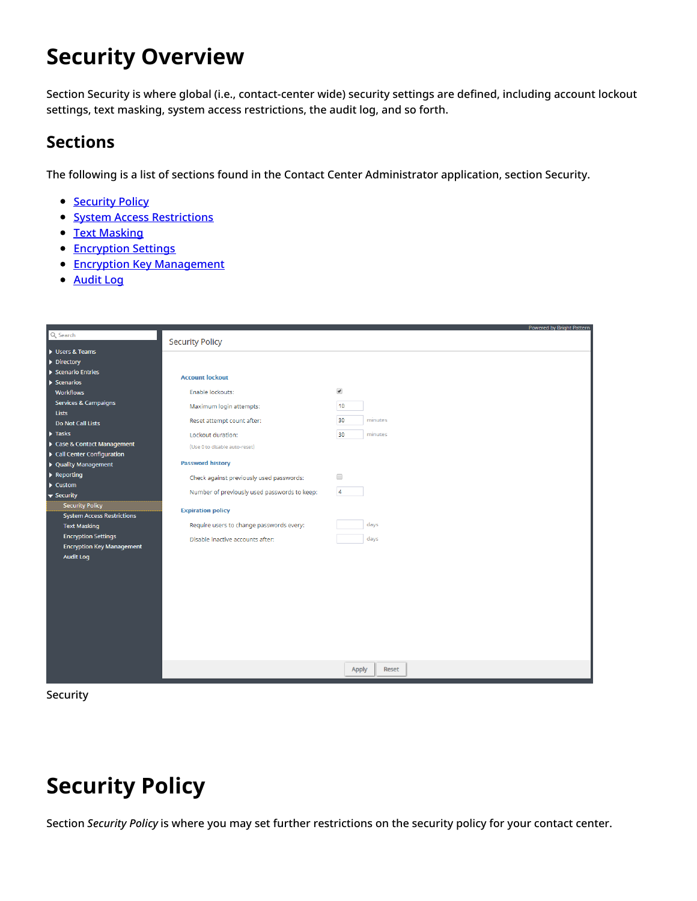# <span id="page-2-0"></span>**Security Overview**

Section Security is where global (i.e., contact-center wide) security settings are defined, including account lockout settings, text masking, system access restrictions, the audit log, and so forth.

## <span id="page-2-1"></span>**Sections**

The following is a list of sections found in the Contact Center Administrator application, section Security.

- [Security](https://help.brightpattern.com/5.8:Contact-center-administrator-guide/Security/?action=html-localimages-export#topic_contact-center-administrator-guide.2Fsecurity.2Fsecuritypolicy) Policy
- **System Access [Restrictions](https://help.brightpattern.com/5.8:Contact-center-administrator-guide/Security/?action=html-localimages-export#topic_contact-center-administrator-guide.2Fsecurity.2Fsystemaccessrestrictions)**
- Text [Masking](https://help.brightpattern.com/5.8:Contact-center-administrator-guide/Security/?action=html-localimages-export#topic_contact-center-administrator-guide.2Fsecurity.2Ftextmaskinginchat)
- **[Encryption](https://help.brightpattern.com/5.8:Contact-center-administrator-guide/Security/?action=html-localimages-export#topic_contact-center-administrator-guide.2Fsecurity.2Fencryptionsettings) Settings**
- **Encryption Key [Management](https://help.brightpattern.com/5.8:Contact-center-administrator-guide/Security/?action=html-localimages-export#topic_contact-center-administrator-guide.2Fsecurity.2Fencryptionkeymanagement)**
- [Audit](https://help.brightpattern.com/5.8:Contact-center-administrator-guide/Security/?action=html-localimages-export#topic_contact-center-administrator-guide.2Fsecurity.2Fauditlog) Log

|                                                                |                                              |                              | Powered by Bright Pattern |
|----------------------------------------------------------------|----------------------------------------------|------------------------------|---------------------------|
| Q Search                                                       | <b>Security Policy</b>                       |                              |                           |
| Users & Teams                                                  |                                              |                              |                           |
| $\triangleright$ Directory                                     |                                              |                              |                           |
| Scenario Entries                                               |                                              |                              |                           |
| $\blacktriangleright$ Scenarios                                | <b>Account lockout</b>                       |                              |                           |
| <b>Workflows</b>                                               | Enable lockouts:                             | $\blacktriangledown$         |                           |
| Services & Campaigns                                           | Maximum login attempts:                      | 10                           |                           |
| Lists                                                          |                                              |                              |                           |
| Do Not Call Lists                                              | Reset attempt count after:                   | 30<br>minutes                |                           |
| $\blacktriangleright$ Tasks                                    | Lockout duration:                            | minutes<br>30                |                           |
| Case & Contact Management                                      | (Use 0 to disable auto-reset)                |                              |                           |
| ▶ Call Center Configuration                                    |                                              |                              |                           |
| ▶ Quality Management                                           | <b>Password history</b>                      |                              |                           |
| $\blacktriangleright$ Reporting                                | Check against previously used passwords:     | $\Box$                       |                           |
| $\blacktriangleright$ Custom                                   | Number of previously used passwords to keep: | $\overline{4}$               |                           |
| $\overline{\phantom{a}}$ Security                              |                                              |                              |                           |
| <b>Security Policy</b>                                         | <b>Expiration policy</b>                     |                              |                           |
| System Access Restrictions                                     | Require users to change passwords every:     | days                         |                           |
| <b>Text Masking</b>                                            |                                              |                              |                           |
| <b>Encryption Settings</b><br><b>Encryption Key Management</b> | Disable inactive accounts after:             | days                         |                           |
| <b>Audit Log</b>                                               |                                              |                              |                           |
|                                                                |                                              |                              |                           |
|                                                                |                                              |                              |                           |
|                                                                |                                              |                              |                           |
|                                                                |                                              |                              |                           |
|                                                                |                                              |                              |                           |
|                                                                |                                              |                              |                           |
|                                                                |                                              |                              |                           |
|                                                                |                                              |                              |                           |
|                                                                |                                              |                              |                           |
|                                                                |                                              |                              |                           |
|                                                                |                                              | <b>Apply</b><br><b>Reset</b> |                           |
|                                                                |                                              |                              |                           |



# <span id="page-2-2"></span>**Security Policy**

Section *Security Policy* is where you may set further restrictions on the security policy for your contact center.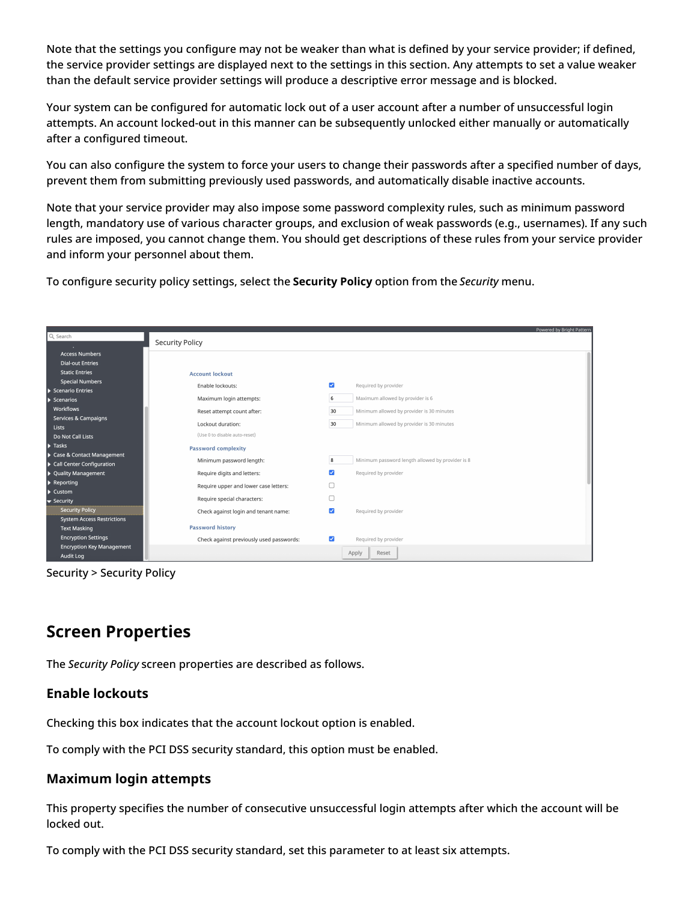Note that the settings you configure may not be weaker than what is defined by your service provider; if defined, the service provider settings are displayed next to the settings in this section. Any attempts to set a value weaker than the default service provider settings will produce a descriptive error message and is blocked.

Your system can be configured for automatic lock out of a user account after a number of unsuccessful login attempts. An account locked-out in this manner can be subsequently unlocked either manually or automatically after a configured timeout.

You can also configure the system to force your users to change their passwords after a specified number of days, prevent them from submitting previously used passwords, and automatically disable inactive accounts.

Note that your service provider may also impose some password complexity rules, such as minimum password length, mandatory use of various character groups, and exclusion of weak passwords (e.g., usernames). If any such rules are imposed, you cannot change them. You should get descriptions of these rules from your service provider and inform your personnel about them.

To configure security policy settings, select the **Security Policy** option from the *Security* menu.

|                                   |                                          | Powered by Bright Pattern                             |
|-----------------------------------|------------------------------------------|-------------------------------------------------------|
| Q Search                          | <b>Security Policy</b>                   |                                                       |
| <b>Access Numbers</b>             |                                          |                                                       |
| <b>Dial-out Entries</b>           |                                          |                                                       |
| <b>Static Entries</b>             |                                          |                                                       |
| <b>Special Numbers</b>            | <b>Account lockout</b>                   |                                                       |
| Scenario Entries                  | Enable lockouts:                         | $\overline{\mathbf{v}}$<br>Required by provider       |
| $\blacktriangleright$ Scenarios   | Maximum login attempts:                  | Maximum allowed by provider is 6<br>6                 |
| Workflows                         | Reset attempt count after:               | 30<br>Minimum allowed by provider is 30 minutes       |
| Services & Campaigns              |                                          | 30<br>Minimum allowed by provider is 30 minutes       |
| <b>Lists</b>                      | Lockout duration:                        |                                                       |
| Do Not Call Lists                 | (Use 0 to disable auto-reset)            |                                                       |
| $\blacktriangleright$ Tasks       | <b>Password complexity</b>               |                                                       |
| Case & Contact Management         | Minimum password length:                 | Minimum password length allowed by provider is 8<br>8 |
| Call Center Configuration         |                                          |                                                       |
| ▶ Quality Management              | Require digits and letters:              | $\overline{\mathcal{L}}$<br>Required by provider      |
| $\blacktriangleright$ Reporting   | Require upper and lower case letters:    | Ω                                                     |
| $\blacktriangleright$ Custom      |                                          | $\Box$                                                |
| $\blacktriangledown$ Security     | Require special characters:              |                                                       |
| <b>Security Policy</b>            | Check against login and tenant name:     | $\overline{\mathbf{v}}$<br>Required by provider       |
| <b>System Access Restrictions</b> |                                          |                                                       |
| <b>Text Masking</b>               | <b>Password history</b>                  |                                                       |
| <b>Encryption Settings</b>        | Check against previously used passwords: | M<br>Required by provider                             |
| <b>Encryption Key Management</b>  |                                          | Apply<br>Reset                                        |
| <b>Audit Log</b>                  |                                          |                                                       |

Security > Security Policy

## <span id="page-3-0"></span>**Screen Properties**

The *Security Policy* screen properties are described as follows.

### <span id="page-3-1"></span>**Enable lockouts**

Checking this box indicates that the account lockout option is enabled.

To comply with the PCI DSS security standard, this option must be enabled.

### <span id="page-3-2"></span>**Maximum login attempts**

This property specifies the number of consecutive unsuccessful login attempts after which the account will be locked out.

To comply with the PCI DSS security standard, set this parameter to at least six attempts.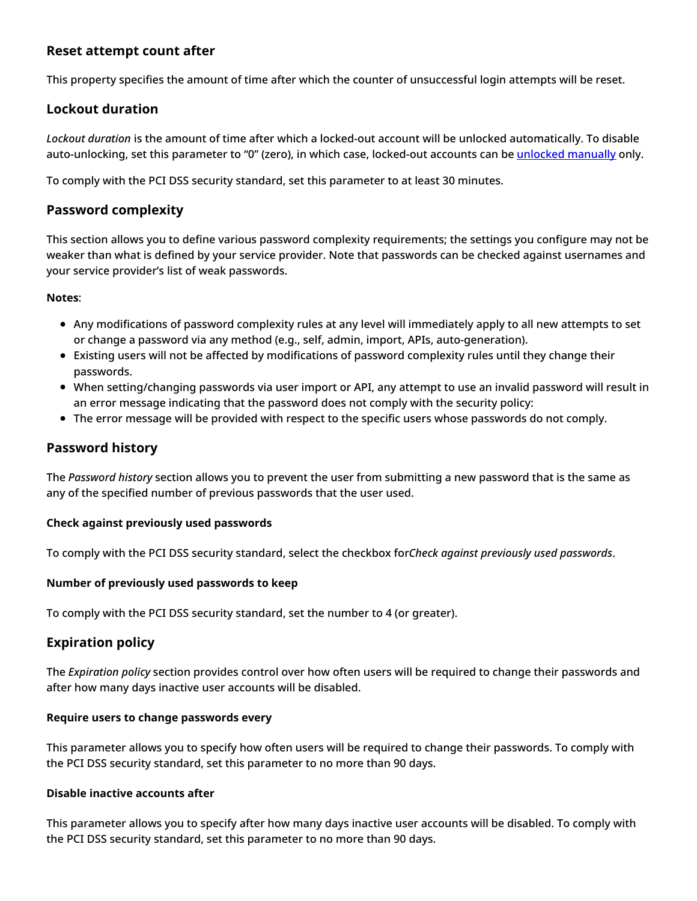### <span id="page-4-0"></span>**Reset attempt count after**

This property specifies the amount of time after which the counter of unsuccessful login attempts will be reset.

### <span id="page-4-1"></span>**Lockout duration**

*Lockout duration* is the amount of time after which a locked-out account will be unlocked automatically. To disable auto-unlocking, set this parameter to "0" (zero), in which case, locked-out accounts can be unlocked [manually](https://help.brightpattern.com/5.8:Contact-center-administrator-guide/Security/?action=html-localimages-export#topic_contact-center-administrator-guide.2Fusers) only.

To comply with the PCI DSS security standard, set this parameter to at least 30 minutes.

### <span id="page-4-2"></span>**Password complexity**

This section allows you to define various password complexity requirements; the settings you configure may not be weaker than what is defined by your service provider. Note that passwords can be checked against usernames and your service provider's list of weak passwords.

#### **Notes**:

- Any modifications of password complexity rules at any level will immediately apply to all new attempts to set or change a password via any method (e.g., self, admin, import, APIs, auto-generation).
- Existing users will not be affected by modifications of password complexity rules until they change their passwords.
- When setting/changing passwords via user import or API, any attempt to use an invalid password will result in an error message indicating that the password does not comply with the security policy:
- The error message will be provided with respect to the specific users whose passwords do not comply.

### <span id="page-4-3"></span>**Password history**

The *Password history* section allows you to prevent the user from submitting a new password that is the same as any of the specified number of previous passwords that the user used.

#### <span id="page-4-4"></span>**Check against previously used passwords**

To comply with the PCI DSS security standard, select the checkbox for*Check against previously used passwords*.

#### <span id="page-4-5"></span>**Number of previously used passwords to keep**

To comply with the PCI DSS security standard, set the number to 4 (or greater).

### <span id="page-4-6"></span>**Expiration policy**

The *Expiration policy* section provides control over how often users will be required to change their passwords and after how many days inactive user accounts will be disabled.

#### <span id="page-4-7"></span>**Require users to change passwords every**

This parameter allows you to specify how often users will be required to change their passwords. To comply with the PCI DSS security standard, set this parameter to no more than 90 days.

#### <span id="page-4-8"></span>**Disable inactive accounts after**

This parameter allows you to specify after how many days inactive user accounts will be disabled. To comply with the PCI DSS security standard, set this parameter to no more than 90 days.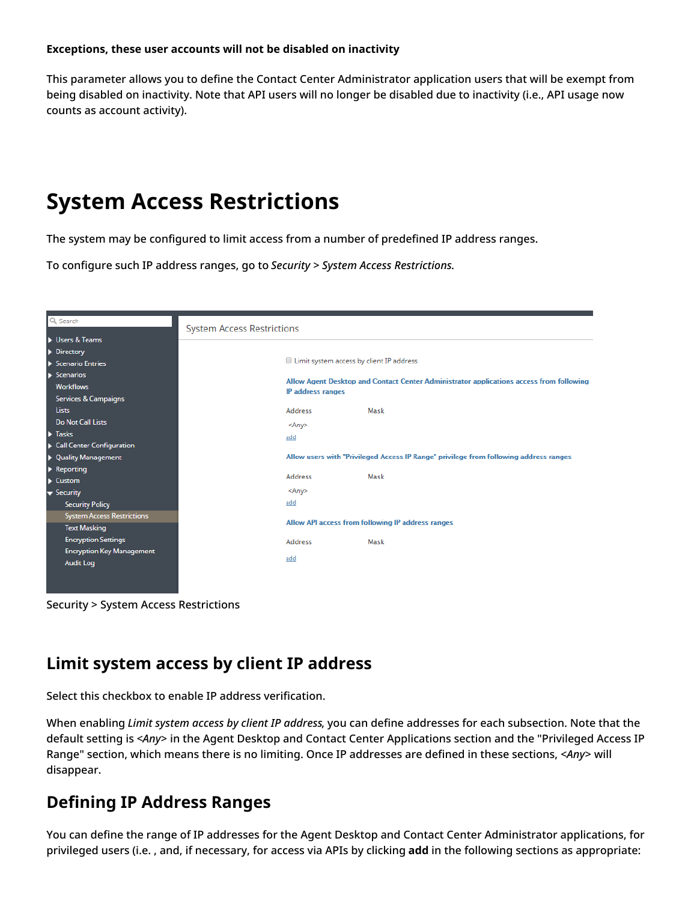#### <span id="page-5-0"></span>**Exceptions, these user accounts will not be disabled on inactivity**

This parameter allows you to define the Contact Center Administrator application users that will be exempt from being disabled on inactivity. Note that API users will no longer be disabled due to inactivity (i.e., API usage now counts as account activity).

# <span id="page-5-1"></span>**System Access Restrictions**

The system may be configured to limit access from a number of predefined IP address ranges.

To configure such IP address ranges, go to *Security > System Access Restrictions*.

| Q Search                               | <b>System Access Restrictions</b> |                                                                                                              |                                                                                       |  |  |  |
|----------------------------------------|-----------------------------------|--------------------------------------------------------------------------------------------------------------|---------------------------------------------------------------------------------------|--|--|--|
| Users & Teams                          |                                   |                                                                                                              |                                                                                       |  |  |  |
| Directory                              |                                   |                                                                                                              |                                                                                       |  |  |  |
| $\blacktriangleright$ Scenario Entries |                                   | Limit system access by client IP address                                                                     |                                                                                       |  |  |  |
| $\blacktriangleright$ Scenarios        |                                   |                                                                                                              |                                                                                       |  |  |  |
| <b>Workflows</b>                       |                                   | Allow Agent Desktop and Contact Center Administrator applications access from following<br>IP address ranges |                                                                                       |  |  |  |
| Services & Campaigns                   |                                   |                                                                                                              |                                                                                       |  |  |  |
| <b>Lists</b>                           | <b>Address</b>                    |                                                                                                              | Mask                                                                                  |  |  |  |
| <b>Do Not Call Lists</b>               | <any></any>                       |                                                                                                              |                                                                                       |  |  |  |
| $\blacktriangleright$ Tasks            | add                               |                                                                                                              |                                                                                       |  |  |  |
| Call Center Configuration              |                                   |                                                                                                              |                                                                                       |  |  |  |
| • Quality Management                   |                                   |                                                                                                              | Allow users with "Privileged Access IP Range" privilege from following address ranges |  |  |  |
| $\blacktriangleright$ Reporting        |                                   |                                                                                                              |                                                                                       |  |  |  |
| $\blacktriangleright$ Custom           | <b>Address</b>                    |                                                                                                              | Mask                                                                                  |  |  |  |
| $\blacktriangledown$ Security          | <any></any>                       |                                                                                                              |                                                                                       |  |  |  |
| <b>Security Policy</b>                 | add                               |                                                                                                              |                                                                                       |  |  |  |
| <b>System Access Restrictions</b>      |                                   |                                                                                                              |                                                                                       |  |  |  |
| <b>Text Masking</b>                    |                                   |                                                                                                              | Allow API access from following IP address ranges                                     |  |  |  |
| <b>Encryption Settings</b>             | <b>Address</b>                    |                                                                                                              | Mask                                                                                  |  |  |  |
| <b>Encryption Key Management</b>       |                                   |                                                                                                              |                                                                                       |  |  |  |
| <b>Audit Log</b>                       | add                               |                                                                                                              |                                                                                       |  |  |  |
|                                        |                                   |                                                                                                              |                                                                                       |  |  |  |
|                                        |                                   |                                                                                                              |                                                                                       |  |  |  |
|                                        |                                   |                                                                                                              |                                                                                       |  |  |  |

Security > System Access Restrictions

## <span id="page-5-2"></span>**Limit system access by client IP address**

Select this checkbox to enable IP address verification.

When enabling *Limit system access by client IP address*, you can define addresses for each subsection. Note that the default setting is *<Any>* in the Agent Desktop and Contact Center Applications section and the "Privileged Access IP Range" section, which means there is no limiting. Once IP addresses are defined in these sections, *<Any>* will disappear.

## <span id="page-5-3"></span>**Defining IP Address Ranges**

You can define the range of IP addresses for the Agent Desktop and Contact Center Administrator applications, for privileged users (i.e. , and, if necessary, for access via APIs by clicking **add** in the following sections as appropriate: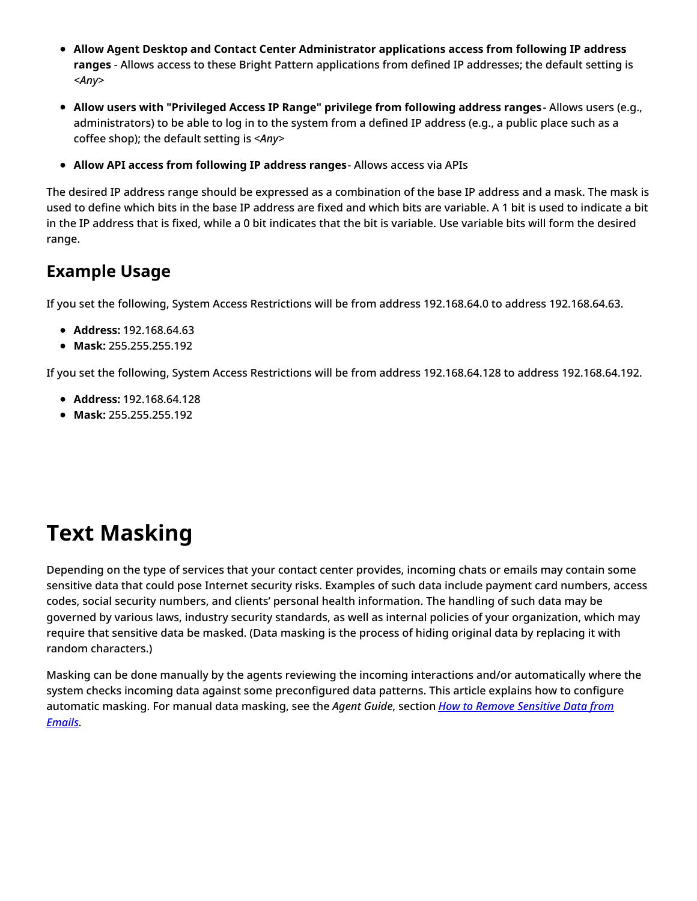- **Allow Agent Desktop and Contact Center Administrator applications access from following IP address ranges** - Allows access to these Bright Pattern applications from defined IP addresses; the default setting is *<Any>*
- **Allow users with "Privileged Access IP Range" privilege from following address ranges** Allows users (e.g., administrators) to be able to log in to the system from a defined IP address (e.g., a public place such as a coffee shop); the default setting is *<Any>*
- **Allow API access from following IP address ranges** Allows access via APIs

The desired IP address range should be expressed as a combination of the base IP address and a mask. The mask is used to define which bits in the base IP address are fixed and which bits are variable. A 1 bit is used to indicate a bit in the IP address that is fixed, while a 0 bit indicates that the bit is variable. Use variable bits will form the desired range.

## <span id="page-6-0"></span>**Example Usage**

If you set the following, System Access Restrictions will be from address 192.168.64.0 to address 192.168.64.63.

- **Address:** 192.168.64.63
- **Mask:** 255.255.255.192

If you set the following, System Access Restrictions will be from address 192.168.64.128 to address 192.168.64.192.

- **Address:** 192.168.64.128
- **Mask:** 255.255.255.192

# <span id="page-6-1"></span>**Text Masking**

Depending on the type of services that your contact center provides, incoming chats or emails may contain some sensitive data that could pose Internet security risks. Examples of such data include payment card numbers, access codes, social security numbers, and clients' personal health information. The handling of such data may be governed by various laws, industry security standards, as well as internal policies of your organization, which may require that sensitive data be masked. (Data masking is the process of hiding original data by replacing it with random characters.)

Masking can be done manually by the agents reviewing the incoming interactions and/or automatically where the system checks incoming data against some preconfigured data patterns. This article explains how to configure [automatic](https://help.brightpattern.com/5.8:Contact-center-administrator-guide/Security/?action=html-localimages-export#topic_agent-guide.2Ftutorials.2Fcases.2Fhowtomasksensitivedata) masking. For manual data masking, see the *Agent Guide*, section *How to Remove Sensitive Data from Emails*.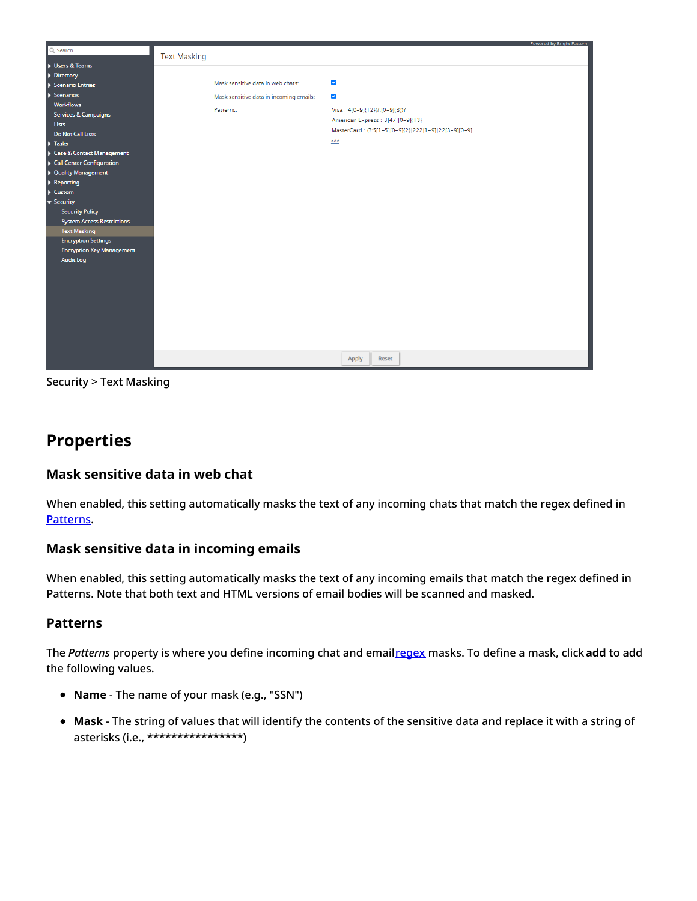

Security > Text Masking

## <span id="page-7-0"></span>**Properties**

### <span id="page-7-1"></span>**Mask sensitive data in web chat**

When enabled, this setting automatically masks the text of any incoming chats that match the regex defined in [Patterns.](https://help.brightpattern.com/5.8:Contact-center-administrator-guide/Security/?action=html-localimages-export#Patterns)

### <span id="page-7-2"></span>**Mask sensitive data in incoming emails**

When enabled, this setting automatically masks the text of any incoming emails that match the regex defined in Patterns. Note that both text and HTML versions of email bodies will be scanned and masked.

### <span id="page-7-3"></span>**Patterns**

The *Patterns* property is where you define incoming chat and email[regex](https://en.wikipedia.org/wiki/Regular_expression) masks. To define a mask, click**add** to add the following values.

- **Name** The name of your mask (e.g., "SSN")
- **Mask** The string of values that will identify the contents of the sensitive data and replace it with a string of asterisks (i.e., \*\*\*\*\*\*\*\*\*\*\*\*\*\*\*\*)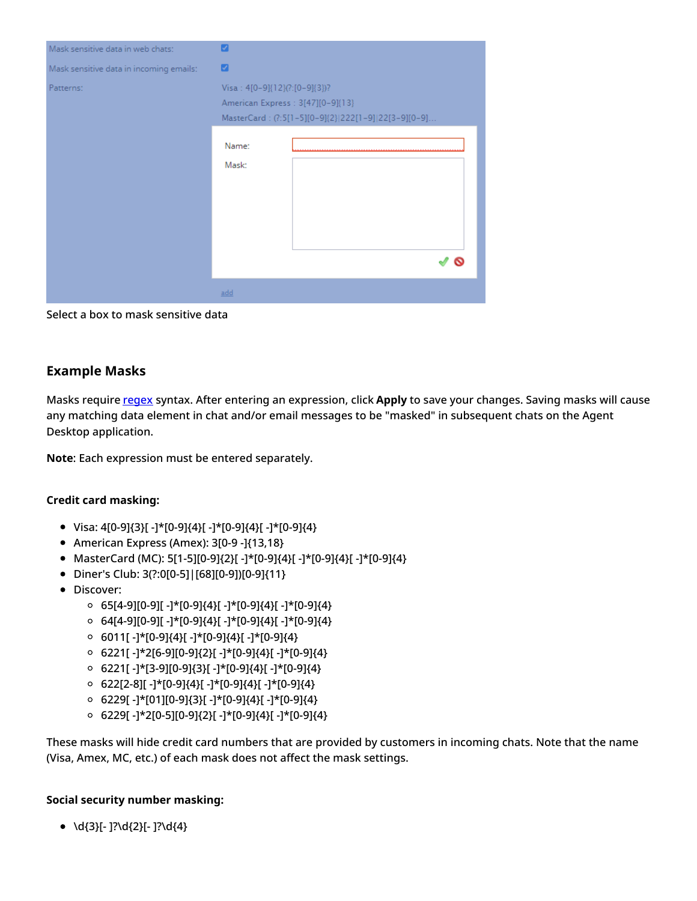| Mask sensitive data in web chats:       | ☑                                                                                                                         |
|-----------------------------------------|---------------------------------------------------------------------------------------------------------------------------|
| Mask sensitive data in incoming emails: | ☑                                                                                                                         |
| Patterns:                               | Visa: 4[0-9]{12}(?:[0-9]{3})?<br>American Express : 3[47][0-9]{13}<br>MasterCard: (?:5[1-5][0-9]{2} 222[1-9] 22[3-9][0-9] |
|                                         | Name:<br>Mask:                                                                                                            |
|                                         |                                                                                                                           |
|                                         | add                                                                                                                       |

Select a box to mask sensitive data

### <span id="page-8-0"></span>**Example Masks**

Masks require [regex](https://en.wikipedia.org/wiki/Regular_expression) syntax. After entering an expression, click **Apply** to save your changes. Saving masks will cause any matching data element in chat and/or email messages to be "masked" in subsequent chats on the Agent Desktop application.

**Note**: Each expression must be entered separately.

#### **Credit card masking:**

- $\bullet$  Visa: 4[0-9]{3}[ -]\*[0-9]{4}[ -]\*[0-9]{4}[ -]\*[0-9]{4}
- American Express (Amex): 3[0-9 -]{13,18}
- MasterCard (MC): 5[1-5][0-9]{2}[ -]\*[0-9]{4}[ -]\*[0-9]{4}[ -]\*[0-9]{4}
- Diner's Club: 3(?:0[0-5]|[68][0-9])[0-9]{11}
- Discover:
	- $\circ$  65[4-9][0-9][ -]\*[0-9]{4}[ -]\*[0-9]{4}[ -]\*[0-9]{4}
	- $\circ$  64[4-9][0-9][ -]\*[0-9]{4}[ -]\*[0-9]{4}[ -]\*[0-9]{4}
	- 6011[ -]\*[0-9]{4}[ -]\*[0-9]{4}[ -]\*[0-9]{4}
	- 6221[ -]\*2[6-9][0-9]{2}[ -]\*[0-9]{4}[ -]\*[0-9]{4}
	- $\circ$  6221[ -]\*[3-9][0-9]{3}[ -]\*[0-9]{4}[ -]\*[0-9]{4}
	- $\circ$  622[2-8][ -]\*[0-9]{4}[ -]\*[0-9]{4}[ -]\*[0-9]{4}
	- 6229[ -]\*[01][0-9]{3}[ -]\*[0-9]{4}[ -]\*[0-9]{4}
	- 6229[ -]\*2[0-5][0-9]{2}[ -]\*[0-9]{4}[ -]\*[0-9]{4}

These masks will hide credit card numbers that are provided by customers in incoming chats. Note that the name (Visa, Amex, MC, etc.) of each mask does not affect the mask settings.

#### **Social security number masking:**

 $\bullet$  \d{3}[- ]?\d{2}[- ]?\d{4}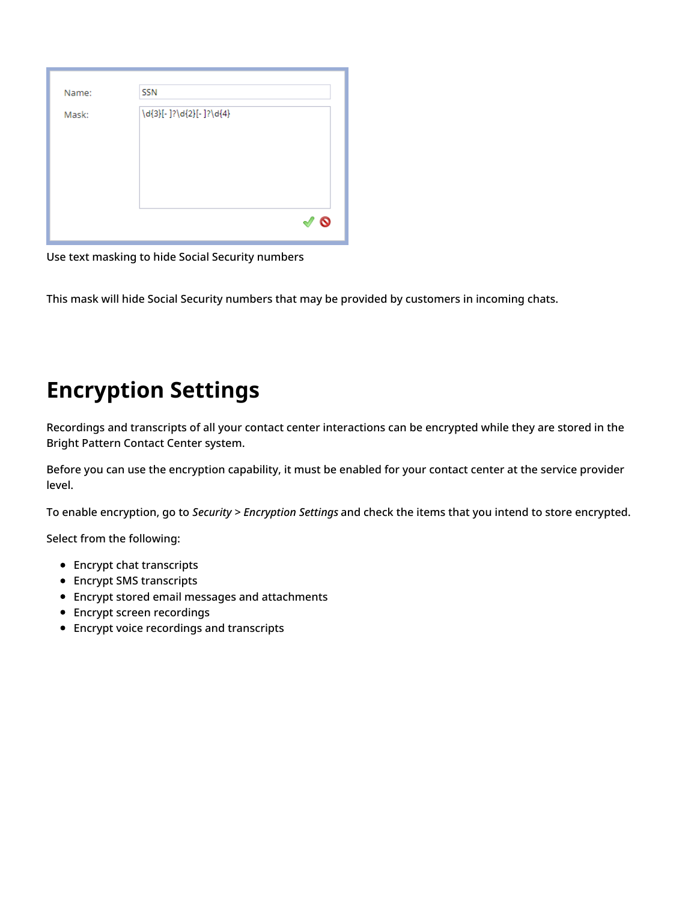| Name: | <b>SSN</b>              |  |
|-------|-------------------------|--|
| Mask: | \d{3}[-]?\d{2}[-]?\d{4} |  |
|       |                         |  |

Use text masking to hide Social Security numbers

This mask will hide Social Security numbers that may be provided by customers in incoming chats.

# <span id="page-9-0"></span>**Encryption Settings**

Recordings and transcripts of all your contact center interactions can be encrypted while they are stored in the Bright Pattern Contact Center system.

Before you can use the encryption capability, it must be enabled for your contact center at the service provider level.

To enable encryption, go to *Security > Encryption Settings* and check the items that you intend to store encrypted.

Select from the following:

- Encrypt chat transcripts
- Encrypt SMS transcripts
- Encrypt stored email messages and attachments
- **•** Encrypt screen recordings
- Encrypt voice recordings and transcripts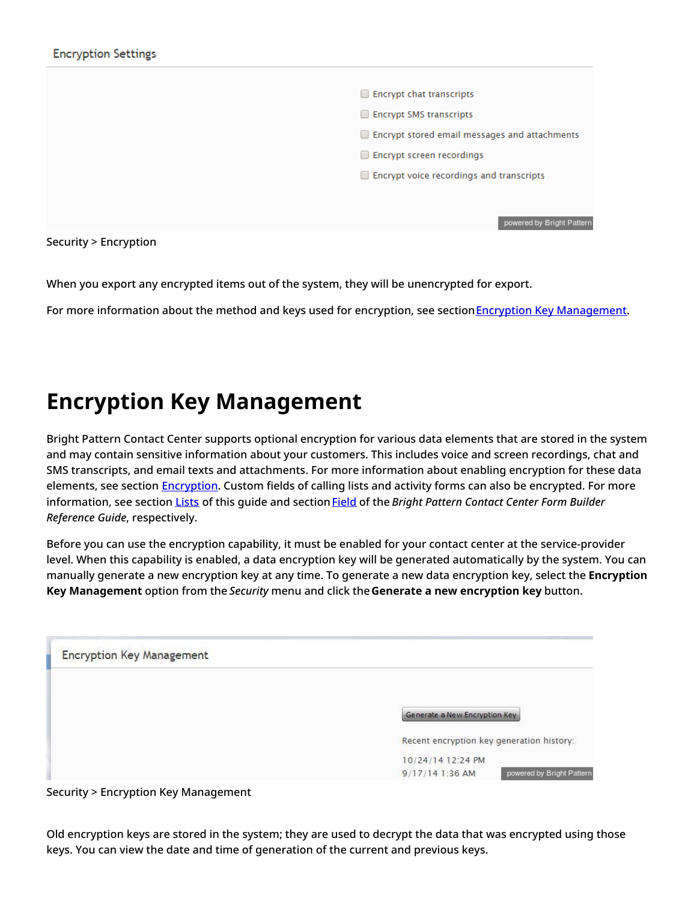

Security > Encryption

When you export any encrypted items out of the system, they will be unencrypted for export.

For more information about the method and keys used for encryption, see section **Encryption Key [Management](https://help.brightpattern.com/5.8:Contact-center-administrator-guide/Security/?action=html-localimages-export#topic_contact-center-administrator-guide.2Fsecurity.2Fencryptionkeymanagement)**.

# <span id="page-10-0"></span>**Encryption Key Management**

Bright Pattern Contact Center supports optional encryption for various data elements that are stored in the system and may contain sensitive information about your customers. This includes voice and screen recordings, chat and SMS transcripts, and email texts and attachments. For more information about enabling encryption for these data elements, see section **[Encryption](https://help.brightpattern.com/5.8:Contact-center-administrator-guide/Security/?action=html-localimages-export#topic_contact-center-administrator-guide.2Fencryption)**. Custom fields of calling lists and activity forms can also be encrypted. For more information, see section [Lists](https://help.brightpattern.com/5.8:Contact-center-administrator-guide/Security/?action=html-localimages-export#topic_contact-center-administrator-guide.2Flists) of this quide and section [Field](https://help.brightpattern.com/5.8:Contact-center-administrator-guide/Security/?action=html-localimages-export#topic_form-builder-reference-guide.2Ffield) of the *Bright Pattern Contact Center Form Builder Reference Guide*, respectively.

Before you can use the encryption capability, it must be enabled for your contact center at the service-provider level. When this capability is enabled, a data encryption key will be generated automatically by the system. You can manually generate a new encryption key at any time. To generate a new data encryption key, select the **Encryption Key Management** option from the *Security* menu and click the**Generate a new encryption key** button.

| <b>Encryption Key Management</b> |                                              |
|----------------------------------|----------------------------------------------|
|                                  |                                              |
|                                  | Generate a New Encryption Key                |
|                                  | Recent encryption key generation history:    |
|                                  | 10/24/14 12:24 PM                            |
|                                  | 9/17/14 1:36 AM<br>powered by Bright Pattern |

Security > Encryption Key Management

Old encryption keys are stored in the system; they are used to decrypt the data that was encrypted using those keys. You can view the date and time of generation of the current and previous keys.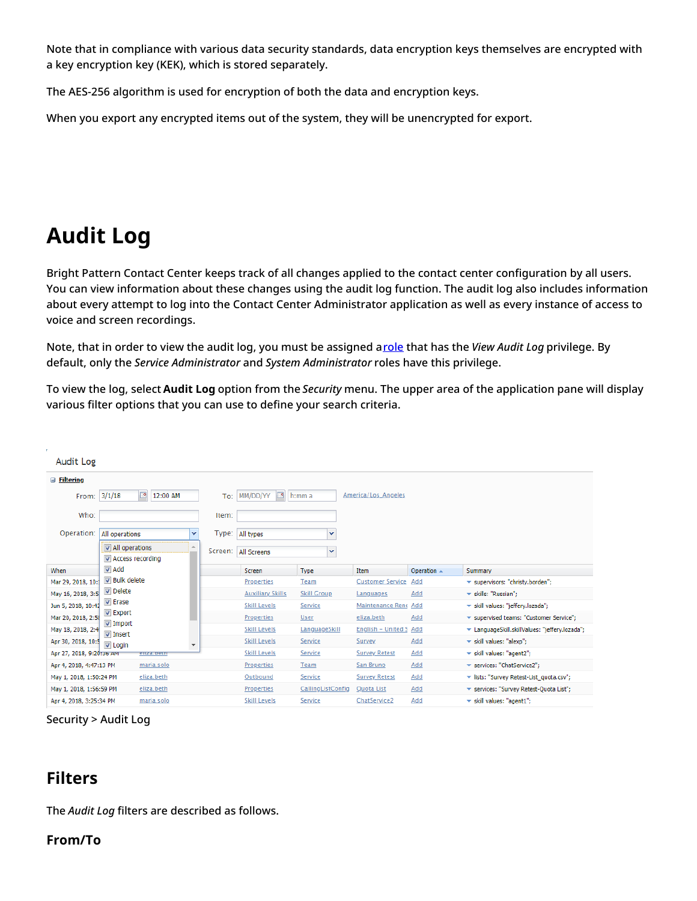Note that in compliance with various data security standards, data encryption keys themselves are encrypted with a key encryption key (KEK), which is stored separately.

The AES-256 algorithm is used for encryption of both the data and encryption keys.

When you export any encrypted items out of the system, they will be unencrypted for export.

# <span id="page-11-0"></span>**Audit Log**

Bright Pattern Contact Center keeps track of all changes applied to the contact center configuration by all users. You can view information about these changes using the audit log function. The audit log also includes information about every attempt to log into the Contact Center Administrator application as well as every instance of access to voice and screen recordings.

Note, that in order to view the audit log, you must be assigned a[role](https://help.brightpattern.com/5.8:Contact-center-administrator-guide/Security/?action=html-localimages-export#topic_contact-center-administrator-guide.2Froles) that has the *View Audit Log* privilege. By default, only the *Service Administrator* and *System Administrator* roles have this privilege.

To view the log, select **Audit Log** option from the *Security* menu. The upper area of the application pane will display various filter options that you can use to define your search criteria.

| Audit Log                |                                    |       |                         |                    |                           |                       |                                                |
|--------------------------|------------------------------------|-------|-------------------------|--------------------|---------------------------|-----------------------|------------------------------------------------|
| $\Box$ Filtering         |                                    |       |                         |                    |                           |                       |                                                |
| From:                    | e<br>3/1/18<br>12:00 AM            | To:   | $\Box$<br>MM/DD/YY      | h:mm a             | America/Los_Angeles       |                       |                                                |
| Who:                     |                                    | Item: |                         |                    |                           |                       |                                                |
| Operation:               | All operations                     | v     | Type: All types         | v                  |                           |                       |                                                |
|                          | All operations                     |       | Screen: All Screens     | v                  |                           |                       |                                                |
|                          | Access recording                   |       |                         |                    |                           |                       |                                                |
| When                     | $\triangledown$ Add                |       | Screen                  | Type               | Item                      | Operation $\triangle$ | Summary                                        |
| Mar 29, 2018, 10:1       | <b>▼</b> Bulk delete               |       | <b>Properties</b>       | Team               | <b>Customer Service</b>   | Add                   | ▼ supervisors: "christy.borden";               |
| May 16, 2018, 3:5        | <b>V</b> Delete                    |       | <b>Auxiliary Skills</b> | <b>Skill Group</b> | Languages                 | Add                   | * skills: "Russian";                           |
| Jun 5, 2018, 10:42       | <b>V</b> Erase                     |       | <b>Skill Levels</b>     | Service            | Maintenance Rene          | Add                   | * skill values: "jeffery.lozada";              |
| Mar 20, 2018, 2:58       | V Export                           |       | Properties              | <b>User</b>        | eliza.beth                | Add                   | ▼ supervised teams: "Customer Service";        |
| May 18, 2018, 2:4        | <b>√</b> Import<br><b>V</b> Insert |       | <b>Skill Levels</b>     | LanguageSkill      | <b>English - United S</b> | Add                   | ▼ LanguageSkill.skillValues: "jeffery.lozada"; |
| Apr 30, 2018, 10:5       | $\nabla$ Login                     | ٠     | <b>Skill Levels</b>     | Service            | Survey                    | Add                   | * skill values: "alexp";                       |
| Арг 27, 2018, 9:20:36 АМ | enza.beth                          |       | <b>Skill Levels</b>     | Service            | <b>Survey Retest</b>      | Add                   | * skill values: "agent2";                      |
| Apr 4, 2018, 4:47:13 PM  | maria.solo                         |       | Properties              | Team               | San Bruno                 | Add                   | ▼ services: "ChatService2":                    |
| May 1, 2018, 1:50:24 PM  | eliza.beth                         |       | Outbound                | <b>Service</b>     | <b>Survey Retest</b>      | Add                   | v lists: "Survey Retest-List_quota.csv";       |
| May 1, 2018, 1:56:59 PM  | eliza.beth                         |       | Properties              | CallingListConfig  | Quota List                | Add                   | ▼ services: "Survey Retest-Quota List";        |
| Apr 4, 2018, 3:25:34 PM  | maria.solo                         |       | <b>Skill Levels</b>     | Service            | ChatService2              | Add                   | $\star$ skill values: "agent1";                |

Security > Audit Log

## <span id="page-11-1"></span>**Filters**

The *Audit Log* filters are described as follows.

### <span id="page-11-2"></span>**From/To**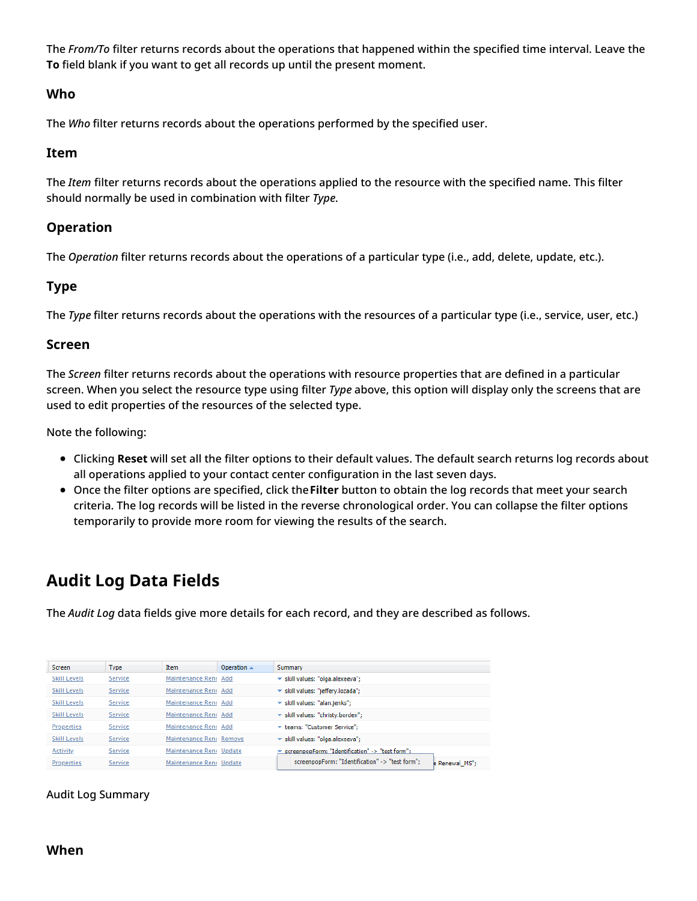The *From/To* filter returns records about the operations that happened within the specified time interval. Leave the **To** field blank if you want to get all records up until the present moment.

### <span id="page-12-0"></span>**Who**

The *Who* filter returns records about the operations performed by the specified user.

### <span id="page-12-1"></span>**Item**

The *Item* filter returns records about the operations applied to the resource with the specified name. This filter should normally be used in combination with filter *Type*.

### <span id="page-12-2"></span>**Operation**

The *Operation* filter returns records about the operations of a particular type (i.e., add, delete, update, etc.).

### <span id="page-12-3"></span>**Type**

The *Type* filter returns records about the operations with the resources of a particular type (i.e., service, user, etc.)

### <span id="page-12-4"></span>**Screen**

The *Screen* filter returns records about the operations with resource properties that are defined in a particular screen. When you select the resource type using filter *Type* above, this option will display only the screens that are used to edit properties of the resources of the selected type.

Note the following:

- Clicking **Reset** will set all the filter options to their default values. The default search returns log records about all operations applied to your contact center configuration in the last seven days.
- Once the filter options are specified, click the**Filter** button to obtain the log records that meet your search criteria. The log records will be listed in the reverse chronological order. You can collapse the filter options temporarily to provide more room for viewing the results of the search.

## <span id="page-12-5"></span>**Audit Log Data Fields**

The *Audit Log* data fields give more details for each record, and they are described as follows.

| <b>Screen</b>       | <b>Type</b> | <b>Item</b>             | Operation $\triangle$ | Summary                                                           |
|---------------------|-------------|-------------------------|-----------------------|-------------------------------------------------------------------|
| <b>Skill Levels</b> | Service     | Maintenance Rene Add    |                       | * skill values: "olga.alexeeva";                                  |
| <b>Skill Levels</b> | Service     | Maintenance Rene Add    |                       | * skill values: "jeffery.lozada";                                 |
| Skill Levels        | Service     | Maintenance Rene Add    |                       | * skill values: "alan.jenks";                                     |
| <b>Skill Levels</b> | Service     | Maintenance Rene Add    |                       | ▼ skill values: "christy.borden":                                 |
| Properties          | Service     | Maintenance Rene Add    |                       | * teams: "Customer Service":                                      |
| <b>Skill Levels</b> | Service     | Maintenance Rene Remove |                       | * skill values: "olga.alexeeva";                                  |
| <b>Activity</b>     | Service     | Maintenance Rene Update |                       | screennonForm: "Identification" -> "test form":                   |
| Properties          | Service     | Maintenance Rene Update |                       | screenpopForm: "Identification" -> "test form":<br>e Renewal MS"; |

<span id="page-12-6"></span>Audit Log Summary